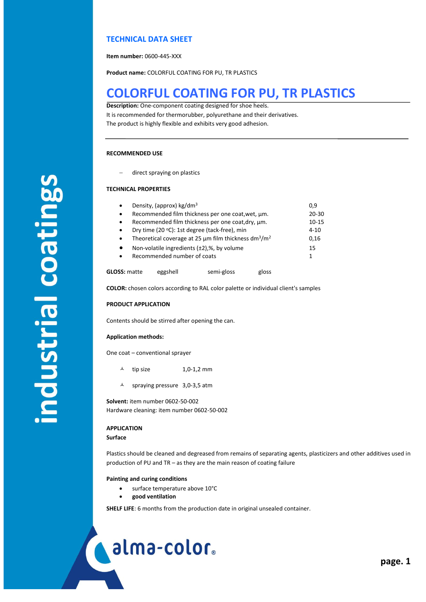### **TECHNICAL DATA SHEET**

**Item number:** 0600-445-XXX

**Product name:** COLORFUL COATING FOR PU, TR PLASTICS

## **COLORFUL COATING FOR PU, TR PLASTICS**

**Description:** One-component coating designed for shoe heels. It is recommended for thermorubber, polyurethane and their derivatives. The product is highly flexible and exhibits very good adhesion.

### **RECOMMENDED USE**

direct spraying on plastics

### **TECHNICAL PROPERTIES**

| $\bullet$                                                      | Density, (approx) $kg/dm3$                                                        |            |       |       |
|----------------------------------------------------------------|-----------------------------------------------------------------------------------|------------|-------|-------|
| $\bullet$                                                      | Recommended film thickness per one coat, wet, µm.                                 |            |       |       |
| Recommended film thickness per one coat, dry, µm.<br>$\bullet$ |                                                                                   |            |       | 10-15 |
| $\bullet$                                                      | Dry time (20 °C): 1st degree (tack-free), min                                     |            |       |       |
| $\bullet$                                                      | Theoretical coverage at 25 $\mu$ m film thickness dm <sup>3</sup> /m <sup>2</sup> |            |       |       |
| Non-volatile ingredients $(\pm 2)$ ,%, by volume<br>$\bullet$  |                                                                                   |            |       | 15    |
| Recommended number of coats<br>$\bullet$                       |                                                                                   |            |       | 1     |
| <b>GLOSS: matte</b>                                            | eggshell                                                                          | semi-gloss | gloss |       |

**COLOR:** chosen colors according to RAL color palette or individual client's samples

### **PRODUCT APPLICATION**

Contents should be stirred after opening the can.

### **Application methods:**

One coat – conventional sprayer

- tip size 1,0-1,2 mm
- $\text{\AA}$  spraying pressure 3,0-3,5 atm

**Solvent:** item number 0602-50-002 Hardware cleaning: item number 0602-50-002

### **APPLICATION**

### **Surface**

Plastics should be cleaned and degreased from remains of separating agents, plasticizers and other additives used in production of PU and TR – as they are the main reason of coating failure

### **Painting and curing conditions**

- surface temperature above 10°C
- **good ventilation**

**SHELF LIFE**: 6 months from the production date in original unsealed container.

# alma-color.